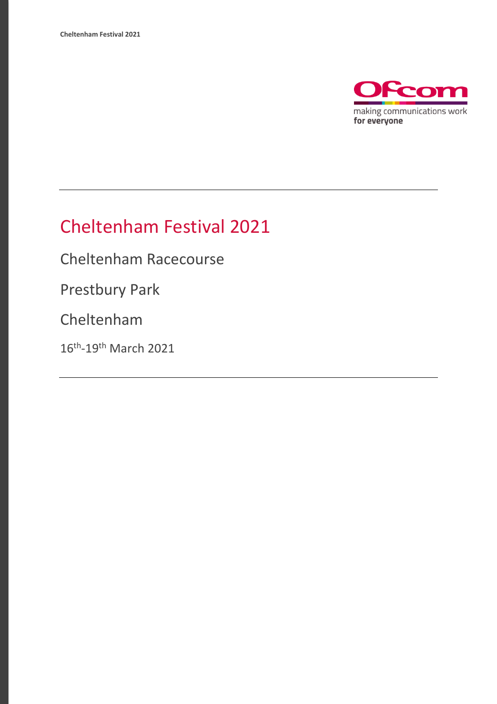

# Cheltenham Festival 2021

Cheltenham Racecourse

Prestbury Park

Cheltenham

16<sup>th</sup>-19<sup>th</sup> March 2021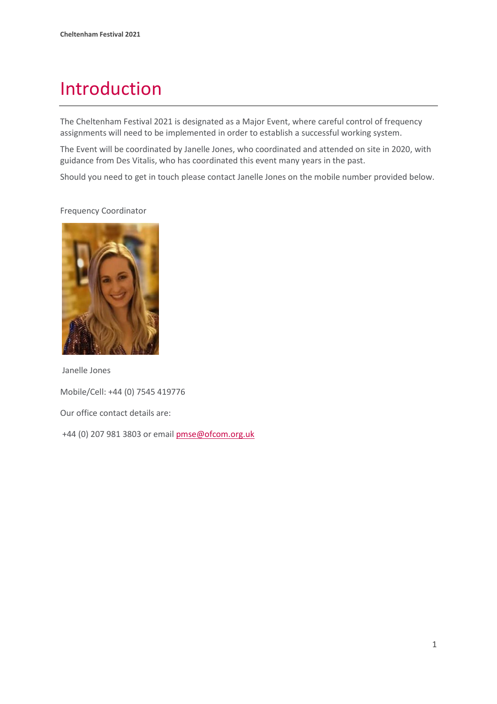# Introduction

The Cheltenham Festival 2021 is designated as a Major Event, where careful control of frequency assignments will need to be implemented in order to establish a successful working system.

The Event will be coordinated by Janelle Jones, who coordinated and attended on site in 2020, with guidance from Des Vitalis, who has coordinated this event many years in the past.

Should you need to get in touch please contact Janelle Jones on the mobile number provided below.

Janelle Jones Mobile/Cell: +44 (0) 7545 419776 Our office contact details are: +44 (0) 207 981 3803 or emai[l pmse@ofcom.org.uk](mailto:pmse@ofcom.org.uk)

### Frequency Coordinator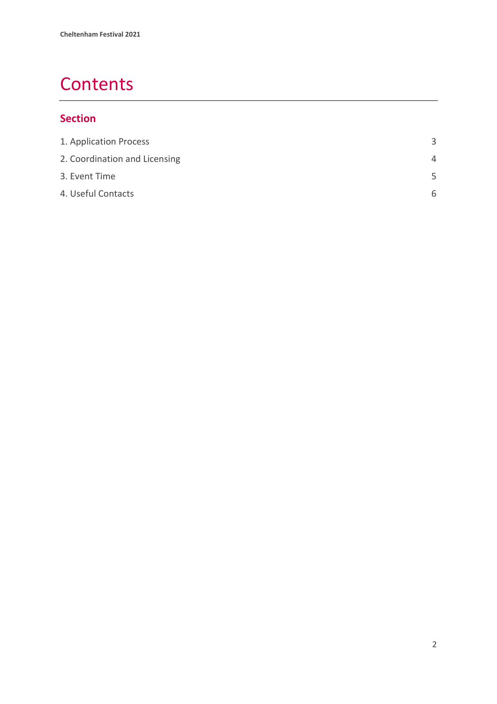# **Contents**

### **Section**

<span id="page-2-0"></span>

| ₹        |
|----------|
| $\Delta$ |
| .5       |
| 6        |
|          |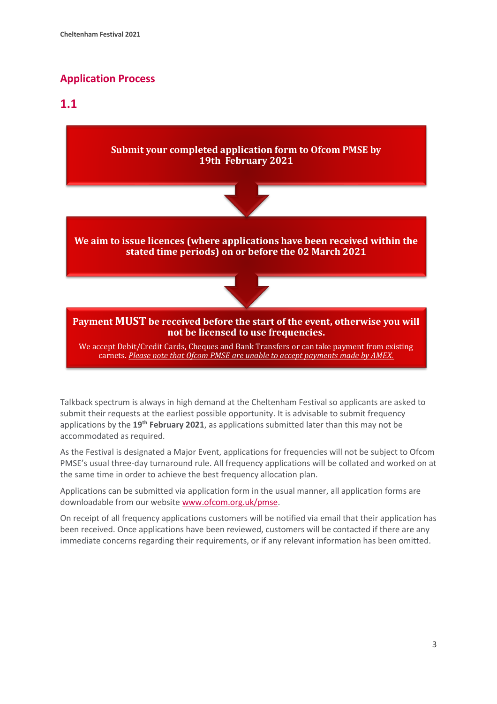### **Application Process**

### **1.1**



Talkback spectrum is always in high demand at the Cheltenham Festival so applicants are asked to submit their requests at the earliest possible opportunity. It is advisable to submit frequency applications by the **19th February 2021**, as applications submitted later than this may not be accommodated as required.

As the Festival is designated a Major Event, applications for frequencies will not be subject to Ofcom PMSE's usual three-day turnaround rule. All frequency applications will be collated and worked on at the same time in order to achieve the best frequency allocation plan.

Applications can be submitted via application form in the usual manner, all application forms are downloadable from our website [www.ofcom.org.uk/pmse.](http://www.ofcom.org.uk/pmse)

On receipt of all frequency applications customers will be notified via email that their application has been received. Once applications have been reviewed, customers will be contacted if there are any immediate concerns regarding their requirements, or if any relevant information has been omitted.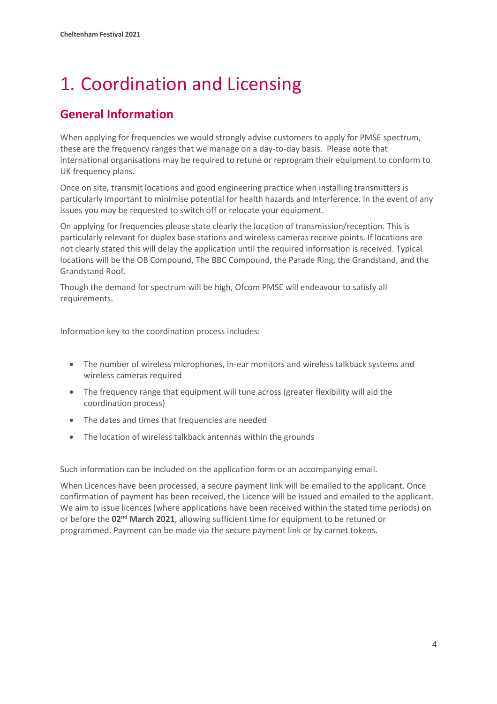# <span id="page-4-0"></span>1. Coordination and Licensing

### **General Information**

When applying for frequencies we would strongly advise customers to apply for PMSE spectrum, these are the frequency ranges that we manage on a day-to-day basis. Please note that international organisations may be required to retune or reprogram their equipment to conform to UK frequency plans.

Once on site, transmit locations and good engineering practice when installing transmitters is particularly important to minimise potential for health hazards and interference. In the event of any issues you may be requested to switch off or relocate your equipment.

On applying for frequencies please state clearly the location of transmission/reception. This is particularly relevant for duplex base stations and wireless cameras receive points. If locations are not clearly stated this will delay the application until the required information is received. Typical locations will be the OB Compound, The BBC Compound, the Parade Ring, the Grandstand, and the Grandstand Roof.

Though the demand for spectrum will be high, Ofcom PMSE will endeavour to satisfy all requirements.

Information key to the coordination process includes:

- The number of wireless microphones, in-ear monitors and wireless talkback systems and wireless cameras required
- The frequency range that equipment will tune across (greater flexibility will aid the coordination process)
- The dates and times that frequencies are needed
- The location of wireless talkback antennas within the grounds

Such information can be included on the application form or an accompanying email.

When Licences have been processed, a secure payment link will be emailed to the applicant. Once confirmation of payment has been received, the Licence will be issued and emailed to the applicant. We aim to issue licences (where applications have been received within the stated time periods) on or before the **02nd March 2021**, allowing sufficient time for equipment to be retuned or programmed. Payment can be made via the secure payment link or by carnet tokens.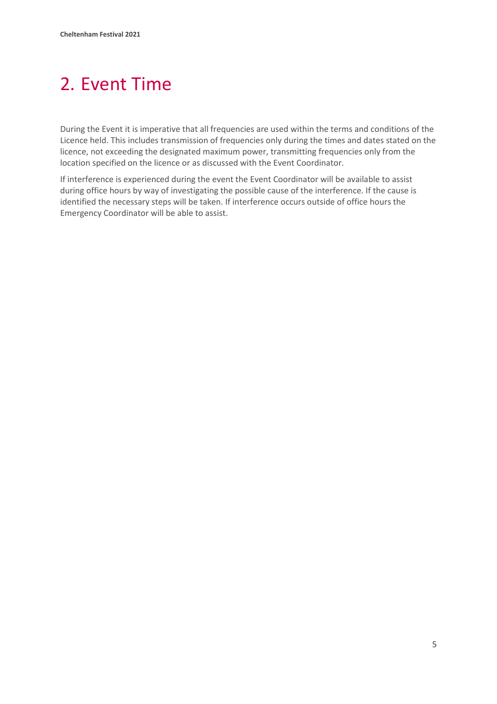# <span id="page-5-0"></span>2. Event Time

During the Event it is imperative that all frequencies are used within the terms and conditions of the Licence held. This includes transmission of frequencies only during the times and dates stated on the licence, not exceeding the designated maximum power, transmitting frequencies only from the location specified on the licence or as discussed with the Event Coordinator.

If interference is experienced during the event the Event Coordinator will be available to assist during office hours by way of investigating the possible cause of the interference. If the cause is identified the necessary steps will be taken. If interference occurs outside of office hours the Emergency Coordinator will be able to assist.